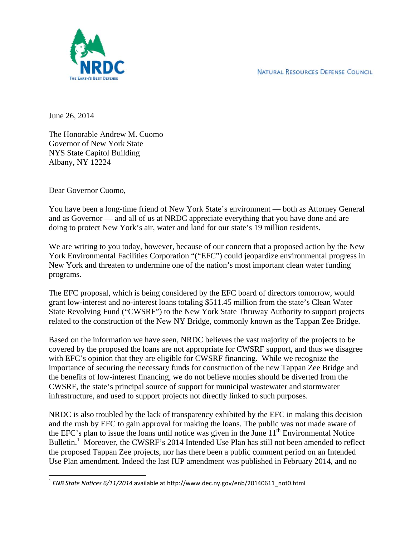NATURAL RESOURCES DEFENSE COUNCIL



June 26, 2014

The Honorable Andrew M. Cuomo Governor of New York State NYS State Capitol Building Albany, NY 12224

Dear Governor Cuomo,

You have been a long-time friend of New York State's environment — both as Attorney General and as Governor — and all of us at NRDC appreciate everything that you have done and are doing to protect New York's air, water and land for our state's 19 million residents.

We are writing to you today, however, because of our concern that a proposed action by the New York Environmental Facilities Corporation "("EFC") could jeopardize environmental progress in New York and threaten to undermine one of the nation's most important clean water funding programs.

The EFC proposal, which is being considered by the EFC board of directors tomorrow, would grant low-interest and no-interest loans totaling \$511.45 million from the state's Clean Water State Revolving Fund ("CWSRF") to the New York State Thruway Authority to support projects related to the construction of the New NY Bridge, commonly known as the Tappan Zee Bridge.

Based on the information we have seen, NRDC believes the vast majority of the projects to be covered by the proposed the loans are not appropriate for CWSRF support, and thus we disagree with EFC's opinion that they are eligible for CWSRF financing. While we recognize the importance of securing the necessary funds for construction of the new Tappan Zee Bridge and the benefits of low-interest financing, we do not believe monies should be diverted from the CWSRF, the state's principal source of support for municipal wastewater and stormwater infrastructure, and used to support projects not directly linked to such purposes.

NRDC is also troubled by the lack of transparency exhibited by the EFC in making this decision and the rush by EFC to gain approval for making the loans. The public was not made aware of the EFC's plan to issue the loans until notice was given in the June  $11<sup>th</sup>$  Environmental Notice Bulletin.<sup>1</sup> Moreover, the CWSRF's 2014 Intended Use Plan has still not been amended to reflect the proposed Tappan Zee projects, nor has there been a public comment period on an Intended Use Plan amendment. Indeed the last IUP amendment was published in February 2014, and no

 <sup>1</sup> *ENB State Notices 6/11/2014* available at http://www.dec.ny.gov/enb/20140611\_not0.html